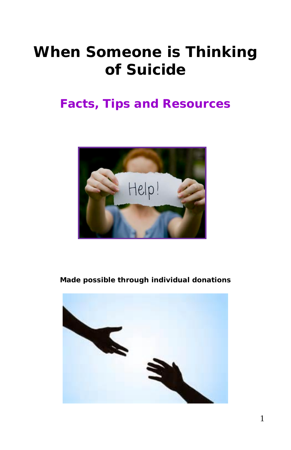# *When Someone is Thinking of Suicide*

## **Facts, Tips and Resources**



#### **Made possible through individual donations**

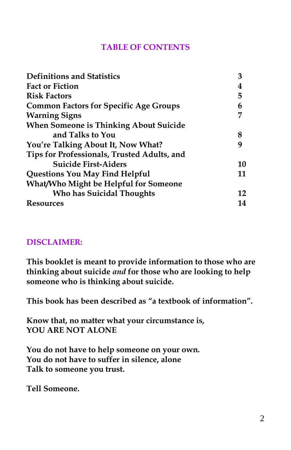#### **TABLE OF CONTENTS**

| <b>Definitions and Statistics</b>             | 3  |
|-----------------------------------------------|----|
| <b>Fact or Fiction</b>                        | 4  |
| <b>Risk Factors</b>                           | 5  |
| <b>Common Factors for Specific Age Groups</b> | 6  |
| <b>Warning Signs</b>                          |    |
| <b>When Someone is Thinking About Suicide</b> |    |
| and Talks to You                              | 8  |
| You're Talking About It, Now What?            | q  |
| Tips for Professionals, Trusted Adults, and   |    |
| <b>Suicide First-Aiders</b>                   | 10 |
| Questions You May Find Helpful                | 11 |
| What/Who Might be Helpful for Someone         |    |
| <b>Who has Suicidal Thoughts</b>              | 12 |
| Resources                                     | 14 |

#### **DISCLAIMER:**

**This booklet is meant to provide information to those who are thinking about suicide** *and* **for those who are looking to help someone who is thinking about suicide.**

**This book has been described as "a textbook of information".**

**Know that, no matter what your circumstance is, YOU ARE NOT ALONE**

**You do not have to help someone on your own. You do not have to suffer in silence, alone Talk to someone you trust.**

**Tell Someone.**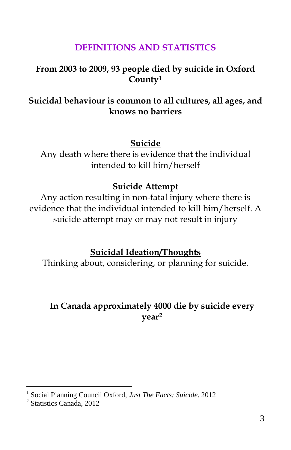## **DEFINITIONS AND STATISTICS**

#### **From 2003 to 2009, 93 people died by suicide in Oxford County[1](#page-2-0)**

## **Suicidal behaviour is common to all cultures, all ages, and knows no barriers**

#### **Suicide**

Any death where there is evidence that the individual intended to kill him/herself

#### **Suicide Attempt**

Any action resulting in non-fatal injury where there is evidence that the individual intended to kill him/herself. A suicide attempt may or may not result in injury

**Suicidal Ideation/Thoughts**

Thinking about, considering, or planning for suicide.

### **In Canada approximately 4000 die by suicide every year[2](#page-2-1)**

<span id="page-2-0"></span><sup>&</sup>lt;sup>1</sup> Social Planning Council Oxford, *Just The Facts: Suicide*. 2012<sup>2</sup> Statistics Canada, 2012

<span id="page-2-1"></span>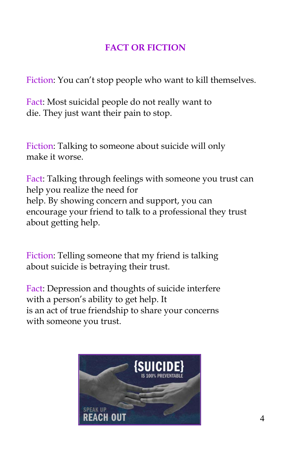## **FACT OR FICTION**

Fiction: You can't stop people who want to kill themselves.

Fact: Most suicidal people do not really want to die. They just want their pain to stop.

Fiction: Talking to someone about suicide will only make it worse.

Fact: Talking through feelings with someone you trust can help you realize the need for help. By showing concern and support, you can encourage your friend to talk to a professional they trust about getting help.

Fiction: Telling someone that my friend is talking about suicide is betraying their trust.

Fact: Depression and thoughts of suicide interfere with a person's ability to get help. It is an act of true friendship to share your concerns with someone you trust.

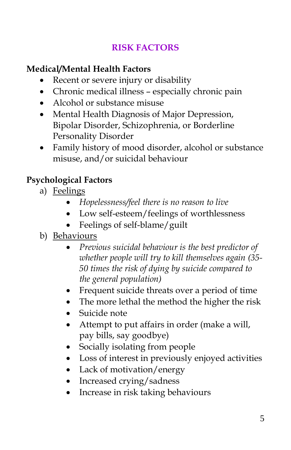## **RISK FACTORS**

## **Medical/Mental Health Factors**

- Recent or severe injury or disability
- Chronic medical illness especially chronic pain
- Alcohol or substance misuse
- Mental Health Diagnosis of Major Depression, Bipolar Disorder, Schizophrenia, or Borderline Personality Disorder
- Family history of mood disorder, alcohol or substance misuse, and/or suicidal behaviour

## **Psychological Factors**

- a) Feelings
	- *Hopelessness/feel there is no reason to live*
	- Low self-esteem/feelings of worthlessness
	- Feelings of self-blame/guilt
- b) Behaviours
	- *Previous suicidal behaviour is the best predictor of whether people will try to kill themselves again (35- 50 times the risk of dying by suicide compared to the general population)*
	- Frequent suicide threats over a period of time
	- The more lethal the method the higher the risk
	- Suicide note
	- Attempt to put affairs in order (make a will, pay bills, say goodbye)
	- Socially isolating from people
	- Loss of interest in previously enjoyed activities
	- Lack of motivation/energy
	- Increased crying/sadness
	- Increase in risk taking behaviours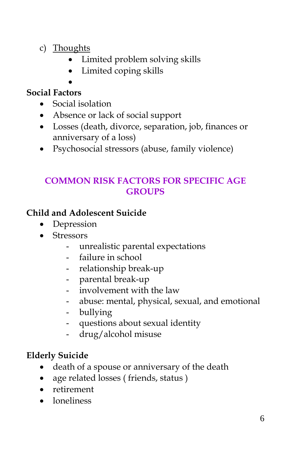- c) Thoughts
	- Limited problem solving skills
	- Limited coping skills
	- •

## **Social Factors**

- Social isolation
- Absence or lack of social support
- Losses (death, divorce, separation, job, finances or anniversary of a loss)
- Psychosocial stressors (abuse, family violence)

## **COMMON RISK FACTORS FOR SPECIFIC AGE GROUPS**

### **Child and Adolescent Suicide**

- Depression
- Stressors
	- unrealistic parental expectations
	- failure in school
	- relationship break-up
	- parental break-up
	- involvement with the law
	- abuse: mental, physical, sexual, and emotional
	- bullying
	- questions about sexual identity
	- drug/alcohol misuse

## **Elderly Suicide**

- death of a spouse or anniversary of the death
- age related losses (friends, status)
- retirement
- loneliness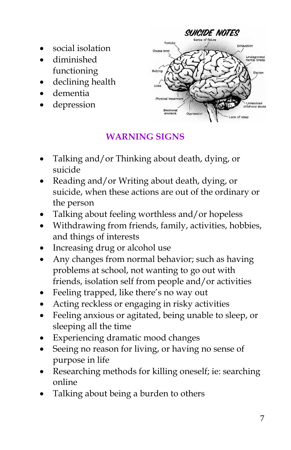- social isolation
- diminished functioning
- declining health
- dementia
- depression



## **WARNING SIGNS**

- Talking and/or Thinking about death, dying, or suicide
- Reading and/or Writing about death, dying, or suicide, when these actions are out of the ordinary or the person
- Talking about feeling worthless and/or hopeless
- Withdrawing from friends, family, activities, hobbies, and things of interests
- Increasing drug or alcohol use
- Any changes from normal behavior; such as having problems at school, not wanting to go out with friends, isolation self from people and/or activities
- Feeling trapped, like there's no way out
- Acting reckless or engaging in risky activities
- Feeling anxious or agitated, being unable to sleep, or sleeping all the time
- Experiencing dramatic mood changes
- Seeing no reason for living, or having no sense of purpose in life
- Researching methods for killing oneself; ie: searching online
- Talking about being a burden to others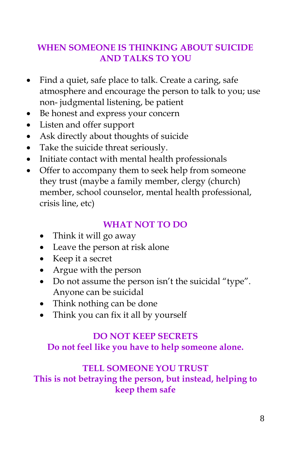## **WHEN SOMEONE IS THINKING ABOUT SUICIDE AND TALKS TO YOU**

- Find a quiet, safe place to talk. Create a caring, safe atmosphere and encourage the person to talk to you; use non- judgmental listening, be patient
- Be honest and express your concern
- Listen and offer support
- Ask directly about thoughts of suicide
- Take the suicide threat seriously.
- Initiate contact with mental health professionals
- Offer to accompany them to seek help from someone they trust (maybe a family member, clergy (church) member, school counselor, mental health professional, crisis line, etc)

## **WHAT NOT TO DO**

- Think it will go away
- Leave the person at risk alone
- Keep it a secret
- Argue with the person
- Do not assume the person isn't the suicidal "type". Anyone can be suicidal
- Think nothing can be done
- Think you can fix it all by yourself

## **DO NOT KEEP SECRETS**

**Do not feel like you have to help someone alone.**

#### **TELL SOMEONE YOU TRUST**

**This is not betraying the person, but instead, helping to keep them safe**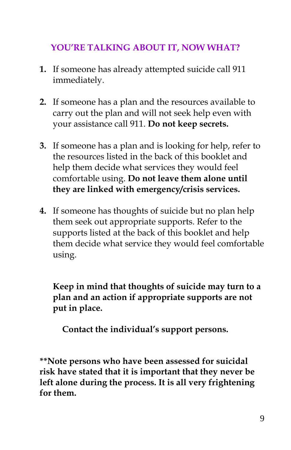## **YOU'RE TALKING ABOUT IT, NOW WHAT?**

- **1.** If someone has already attempted suicide call 911 immediately.
- **2.** If someone has a plan and the resources available to carry out the plan and will not seek help even with your assistance call 911. **Do not keep secrets.**
- **3.** If someone has a plan and is looking for help, refer to the resources listed in the back of this booklet and help them decide what services they would feel comfortable using. **Do not leave them alone until they are linked with emergency/crisis services.**
- **4.** If someone has thoughts of suicide but no plan help them seek out appropriate supports. Refer to the supports listed at the back of this booklet and help them decide what service they would feel comfortable using.

**Keep in mind that thoughts of suicide may turn to a plan and an action if appropriate supports are not put in place.**

**Contact the individual's support persons.**

**\*\*Note persons who have been assessed for suicidal risk have stated that it is important that they never be left alone during the process. It is all very frightening for them.**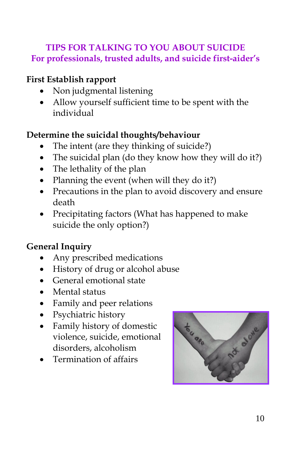## **TIPS FOR TALKING TO YOU ABOUT SUICIDE For professionals, trusted adults, and suicide first-aider's**

#### **First Establish rapport**

- Non judgmental listening
- Allow yourself sufficient time to be spent with the individual

## **Determine the suicidal thoughts/behaviour**

- The intent (are they thinking of suicide?)
- The suicidal plan (do they know how they will do it?)
- The lethality of the plan
- Planning the event (when will they do it?)
- Precautions in the plan to avoid discovery and ensure death
- Precipitating factors (What has happened to make suicide the only option?)

## **General Inquiry**

- Any prescribed medications
- History of drug or alcohol abuse
- General emotional state
- Mental status
- Family and peer relations
- Psychiatric history
- Family history of domestic violence, suicide, emotional disorders, alcoholism
- Termination of affairs

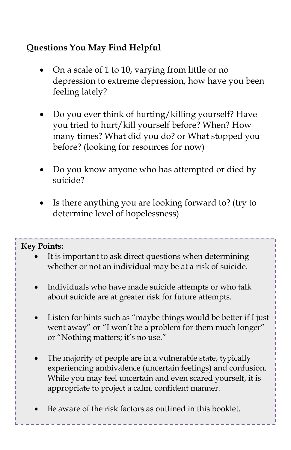## **Questions You May Find Helpful**

- On a scale of 1 to 10, varying from little or no depression to extreme depression, how have you been feeling lately?
- Do you ever think of hurting/killing yourself? Have you tried to hurt/kill yourself before? When? How many times? What did you do? or What stopped you before? (looking for resources for now)
- Do you know anyone who has attempted or died by suicide?
- Is there anything you are looking forward to? (try to determine level of hopelessness)

#### **Key Points:**

- It is important to ask direct questions when determining whether or not an individual may be at a risk of suicide.
- Individuals who have made suicide attempts or who talk about suicide are at greater risk for future attempts.
- Listen for hints such as "maybe things would be better if I just went away" or "I won't be a problem for them much longer" or "Nothing matters; it's no use."
- The majority of people are in a vulnerable state, typically experiencing ambivalence (uncertain feelings) and confusion. While you may feel uncertain and even scared yourself, it is appropriate to project a calm, confident manner.
- Be aware of the risk factors as outlined in this booklet.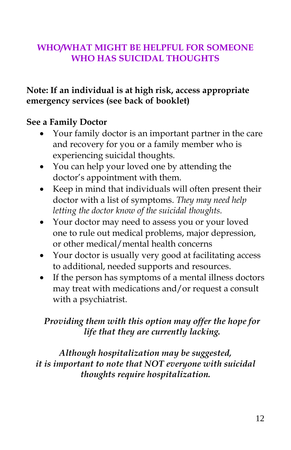## **WHO/WHAT MIGHT BE HELPFUL FOR SOMEONE WHO HAS SUICIDAL THOUGHTS**

#### **Note: If an individual is at high risk, access appropriate emergency services (see back of booklet)**

#### **See a Family Doctor**

- Your family doctor is an important partner in the care and recovery for you or a family member who is experiencing suicidal thoughts.
- You can help your loved one by attending the doctor's appointment with them.
- Keep in mind that individuals will often present their doctor with a list of symptoms. *They may need help letting the doctor know of the suicidal thoughts.*
- Your doctor may need to assess you or your loved one to rule out medical problems, major depression, or other medical/mental health concerns
- Your doctor is usually very good at facilitating access to additional, needed supports and resources.
- If the person has symptoms of a mental illness doctors may treat with medications and/or request a consult with a psychiatrist.

### *Providing them with this option may offer the hope for life that they are currently lacking.*

*Although hospitalization may be suggested, it is important to note that NOT everyone with suicidal thoughts require hospitalization.*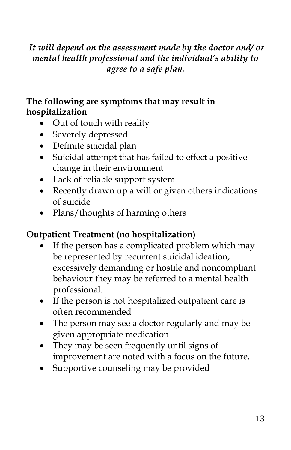## *It will depend on the assessment made by the doctor and/ or mental health professional and the individual's ability to agree to a safe plan.*

## **The following are symptoms that may result in hospitalization**

- Out of touch with reality
- Severely depressed
- Definite suicidal plan
- Suicidal attempt that has failed to effect a positive change in their environment
- Lack of reliable support system
- Recently drawn up a will or given others indications of suicide
- Plans/thoughts of harming others

## **Outpatient Treatment (no hospitalization)**

- If the person has a complicated problem which may be represented by recurrent suicidal ideation, excessively demanding or hostile and noncompliant behaviour they may be referred to a mental health professional.
- If the person is not hospitalized outpatient care is often recommended
- The person may see a doctor regularly and may be given appropriate medication
- They may be seen frequently until signs of improvement are noted with a focus on the future.
- Supportive counseling may be provided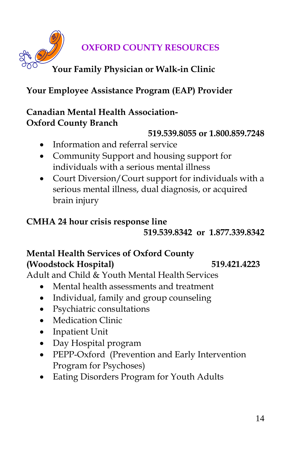**OXFORD COUNTY RESOURCES**

## **Your Family Physician or Walk-in Clinic**

## **Your Employee Assistance Program (EAP) Provider**

### **Canadian Mental Health Association-Oxford County Branch**

#### **519.539.8055 or 1.800.859.7248**

- Information and referral service
- Community Support and housing support for individuals with a serious mental illness
- Court Diversion/Court support for individuals with a serious mental illness, dual diagnosis, or acquired brain injury

#### **CMHA 24 hour crisis response line**

**519.539.8342 or 1.877.339.8342**

## **Mental Health Services of Oxford County (Woodstock Hospital) 519.421.4223**

Adult and Child & Youth Mental Health Services

- Mental health assessments and treatment
- Individual, family and group counseling
- Psychiatric consultations
- Medication Clinic
- Inpatient Unit
- Day Hospital program
- PEPP-Oxford (Prevention and Early Intervention Program for Psychoses)
- Eating Disorders Program for Youth Adults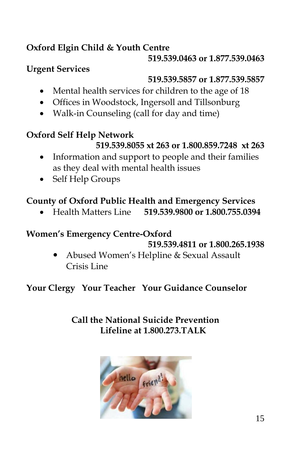## **Oxford Elgin Child & Youth Centre**

#### **519.539.0463 or 1.877.539.0463**

## **Urgent Services**

## **519.539.5857 or 1.877.539.5857**

- Mental health services for children to the age of 18
- Offices in Woodstock, Ingersoll and Tillsonburg
- Walk-in Counseling (call for day and time)

## **Oxford Self Help Network**

## **519.539.8055 xt 263 or 1.800.859.7248 xt 263**

- Information and support to people and their families as they deal with mental health issues
- Self Help Groups

## **County of Oxford Public Health and Emergency Services**

• Health Matters Line **519.539.9800 or 1.800.755.0394**

## **Women's Emergency Centre-Oxford**

#### **519.539.4811 or 1.800.265.1938**

 Abused Women's Helpline & Sexual Assault Crisis Line

## **Your Clergy Your Teacher Your Guidance Counselor**

## **Call the National Suicide Prevention Lifeline at 1.800.273.TALK**

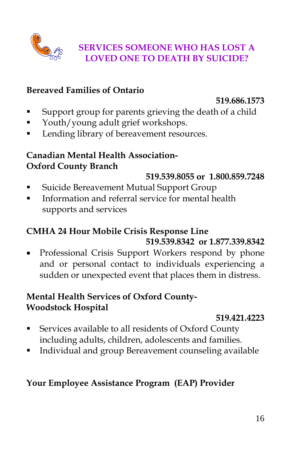

## **SERVICES SOMEONE WHO HAS LOST A LOVED ONE TO DEATH BY SUICIDE?**

#### **Bereaved Families of Ontario**

#### **519.686.1573**

- Support group for parents grieving the death of a child
- Youth/young adult grief workshops.
- Lending library of bereavement resources.

#### **Canadian Mental Health Association-Oxford County Branch**

#### **519.539.8055 or 1.800.859.7248**

- **Exercice Bereavement Mutual Support Group**
- **Information and referral service for mental health** supports and services

### **CMHA 24 Hour Mobile Crisis Response Line 519.539.8342 or 1.877.339.8342**

• Professional Crisis Support Workers respond by phone and or personal contact to individuals experiencing a sudden or unexpected event that places them in distress.

### **Mental Health Services of Oxford County-Woodstock Hospital**

#### **519.421.4223**

- Services available to all residents of Oxford County including adults, children, adolescents and families.
- Individual and group Bereavement counseling available

## **Your Employee Assistance Program (EAP) Provider**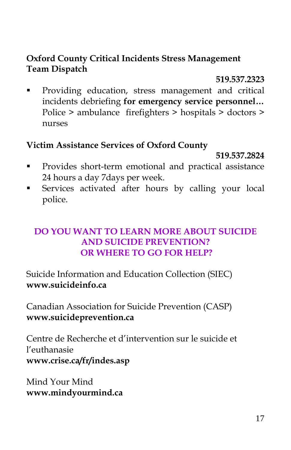#### **Oxford County Critical Incidents Stress Management Team Dispatch**

#### **519.537.2323**

**Providing education, stress management and critical** incidents debriefing **for emergency service personnel…** Police > ambulance firefighters > hospitals > doctors > nurses

#### **Victim Assistance Services of Oxford County**

#### **519.537.2824**

- **Provides short-term emotional and practical assistance** 24 hours a day 7days per week.
- Services activated after hours by calling your local police.

#### **DO YOU WANT TO LEARN MORE ABOUT SUICIDE AND SUICIDE PREVENTION? OR WHERE TO GO FOR HELP?**

Suicide Information and Education Collection (SIEC) **[www.suicideinfo.ca](http://www.suicideinfo.ca/)**

Canadian Association for Suicide Prevention (CASP) **[www.suicideprevention.ca](http://www.suicideprevention.ca/)**

Centre de Recherche et d'intervention sur le suicide et l'euthanasie **[www.crise.ca/fr/indes.asp](http://www.crise.ca/fr/indes.asp)**

Mind Your Mind **www.mindyourmind.ca**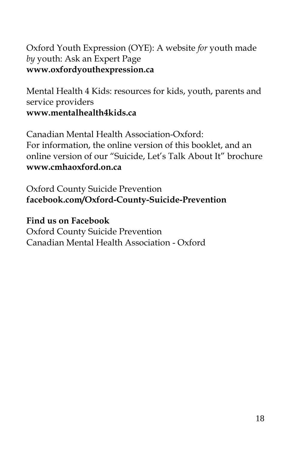## Oxford Youth Expression (OYE): A website *for* youth made *by* youth: Ask an Expert Page **www.oxfordyouthexpression.ca**

Mental Health 4 Kids: resources for kids, youth, parents and service providers **www.mentalhealth4kids.ca**

Canadian Mental Health Association-Oxford: For information, the online version of this booklet, and an online version of our "Suicide, Let's Talk About It" brochure **www.cmhaoxford.on.ca**

Oxford County Suicide Prevention **facebook.com/Oxford-County-Suicide-Prevention**

**Find us on Facebook** Oxford County Suicide Prevention Canadian Mental Health Association - Oxford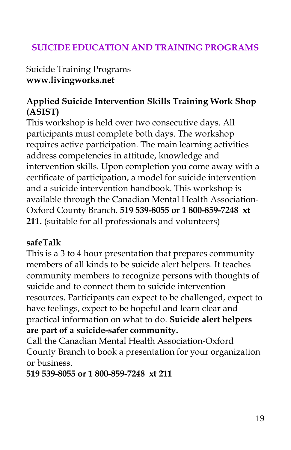## **SUICIDE EDUCATION AND TRAINING PROGRAMS**

Suicide Training Programs **[www.livingworks.net](http://www.livingworks.net/)**

#### **Applied Suicide Intervention Skills Training Work Shop (ASIST)**

This workshop is held over two consecutive days. All participants must complete both days. The workshop requires active participation. The main learning activities address competencies in attitude, knowledge and intervention skills. Upon completion you come away with a certificate of participation, a model for suicide intervention and a suicide intervention handbook. This workshop is available through the Canadian Mental Health Association-Oxford County Branch. **519 539-8055 or 1 800-859-7248 xt 211.** (suitable for all professionals and volunteers)

#### **safeTalk**

This is a 3 to 4 hour presentation that prepares community members of all kinds to be suicide alert helpers. It teaches community members to recognize persons with thoughts of suicide and to connect them to suicide intervention resources. Participants can expect to be challenged, expect to have feelings, expect to be hopeful and learn clear and practical information on what to do. **Suicide alert helpers are part of a suicide-safer community.**

Call the Canadian Mental Health Association-Oxford County Branch to book a presentation for your organization or business.

**519 539-8055 or 1 800-859-7248 xt 211**